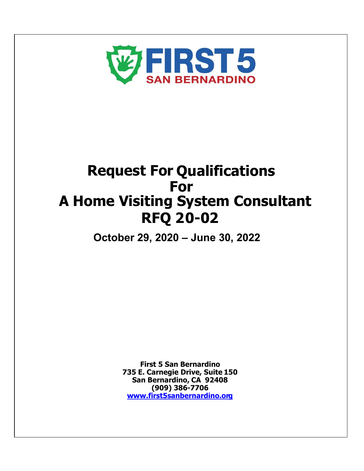

# **Request For Qualifications For A Home Visiting System Consultant RFQ 20-02**

**October 29, 2020 – June 30, 2022**

**First 5 San Bernardino 735 E. Carnegie Drive, Suite 150 San Bernardino, CA 92408 (909) 386-7706 [www.first5sanbernardino.org](http://www.first5sanbernardino.org/)**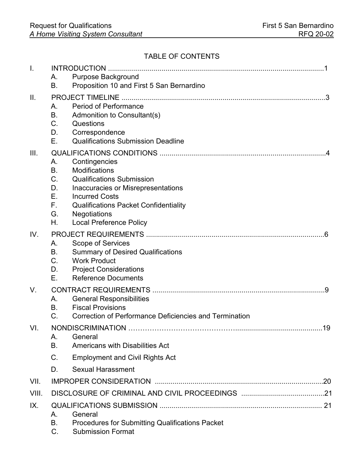# TABLE OF CONTENTS

| $\mathsf{I}$ .  |          |                                                                                    |  |  |
|-----------------|----------|------------------------------------------------------------------------------------|--|--|
|                 | Α.       | <b>Purpose Background</b>                                                          |  |  |
|                 | Β.       | Proposition 10 and First 5 San Bernardino                                          |  |  |
| $\mathbf{II}$ . |          |                                                                                    |  |  |
|                 | А.<br>B. | <b>Period of Performance</b><br>Admonition to Consultant(s)                        |  |  |
|                 | C.       | Questions                                                                          |  |  |
|                 | D.       | Correspondence                                                                     |  |  |
|                 | Е.       | <b>Qualifications Submission Deadline</b>                                          |  |  |
| III.            |          |                                                                                    |  |  |
|                 | А.       | Contingencies                                                                      |  |  |
|                 | B.       | Modifications                                                                      |  |  |
|                 | C.<br>D. | <b>Qualifications Submission</b><br>Inaccuracies or Misrepresentations             |  |  |
|                 | Ε.       | <b>Incurred Costs</b>                                                              |  |  |
|                 | F.       | <b>Qualifications Packet Confidentiality</b>                                       |  |  |
|                 | G.       | Negotiations                                                                       |  |  |
|                 | Η.       | <b>Local Preference Policy</b>                                                     |  |  |
| IV.             | .6       |                                                                                    |  |  |
|                 | А.       | Scope of Services                                                                  |  |  |
|                 | В.<br>C. | <b>Summary of Desired Qualifications</b><br><b>Work Product</b>                    |  |  |
|                 | D.       | <b>Project Considerations</b>                                                      |  |  |
|                 | Е.       | <b>Reference Documents</b>                                                         |  |  |
| V.              |          | -9                                                                                 |  |  |
|                 | А.       | <b>General Responsibilities</b>                                                    |  |  |
|                 | Β.       | <b>Fiscal Provisions</b>                                                           |  |  |
|                 | C.       | <b>Correction of Performance Deficiencies and Termination</b>                      |  |  |
| VI.             | 19       |                                                                                    |  |  |
|                 | А.<br>B. | General<br><b>Americans with Disabilities Act</b>                                  |  |  |
|                 |          |                                                                                    |  |  |
|                 | C.       | <b>Employment and Civil Rights Act</b>                                             |  |  |
|                 | D.       | <b>Sexual Harassment</b>                                                           |  |  |
| VII.            |          |                                                                                    |  |  |
| VIII.           |          |                                                                                    |  |  |
| IX.             |          |                                                                                    |  |  |
|                 | А.       | General                                                                            |  |  |
|                 | В.<br>C. | <b>Procedures for Submitting Qualifications Packet</b><br><b>Submission Format</b> |  |  |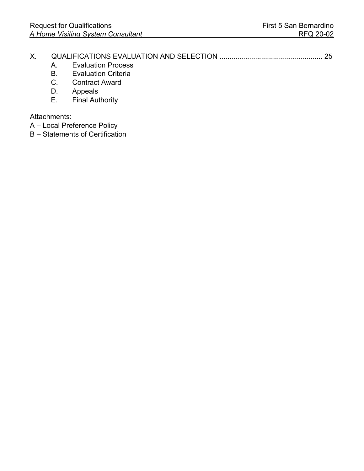| $X_{n}$ |  |                        |  |
|---------|--|------------------------|--|
|         |  | A Evaluation Process   |  |
|         |  | B. Evaluation Criteria |  |
|         |  | C. Contract Award      |  |

- 
- D. Appeals<br>E. Final Autl **Final Authority**

Attachments:

- A Local Preference Policy
- B Statements of Certification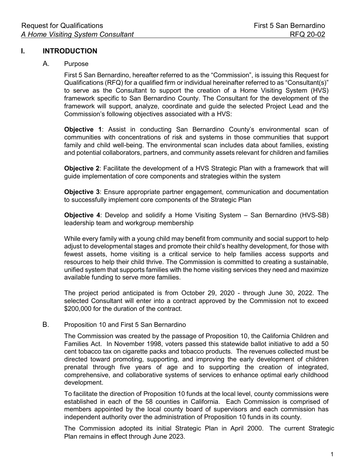## **I. INTRODUCTION**

#### A. Purpose

First 5 San Bernardino, hereafter referred to as the "Commission", is issuing this Request for Qualifications (RFQ) for a qualified firm or individual hereinafter referred to as "Consultant(s)" to serve as the Consultant to support the creation of a Home Visiting System (HVS) framework specific to San Bernardino County. The Consultant for the development of the framework will support, analyze, coordinate and guide the selected Project Lead and the Commission's following objectives associated with a HVS:

**Objective 1**: Assist in conducting San Bernardino County's environmental scan of communities with concentrations of risk and systems in those communities that support family and child well-being. The environmental scan includes data about families, existing and potential collaborators, partners, and community assets relevant for children and families

**Objective 2**: Facilitate the development of a HVS Strategic Plan with a framework that will guide implementation of core components and strategies within the system

**Objective 3**: Ensure appropriate partner engagement, communication and documentation to successfully implement core components of the Strategic Plan

**Objective 4**: Develop and solidify a Home Visiting System – San Bernardino (HVS-SB) leadership team and workgroup membership

While every family with a young child may benefit from community and social support to help adjust to developmental stages and promote their child's healthy development, for those with fewest assets, home visiting is a critical service to help families access supports and resources to help their child thrive. The Commission is committed to creating a sustainable, unified system that supports families with the home visiting services they need and maximize available funding to serve more families.

The project period anticipated is from October 29, 2020 - through June 30, 2022. The selected Consultant will enter into a contract approved by the Commission not to exceed \$200,000 for the duration of the contract.

#### B. Proposition 10 and First 5 San Bernardino

The Commission was created by the passage of Proposition 10, the California Children and Families Act. In November 1998, voters passed this statewide ballot initiative to add a 50 cent tobacco tax on cigarette packs and tobacco products. The revenues collected must be directed toward promoting, supporting, and improving the early development of children prenatal through five years of age and to supporting the creation of integrated, comprehensive, and collaborative systems of services to enhance optimal early childhood development.

To facilitate the direction of Proposition 10 funds at the local level, county commissions were established in each of the 58 counties in California. Each Commission is comprised of members appointed by the local county board of supervisors and each commission has independent authority over the administration of Proposition 10 funds in its county.

The Commission adopted its initial Strategic Plan in April 2000. The current Strategic Plan remains in effect through June 2023.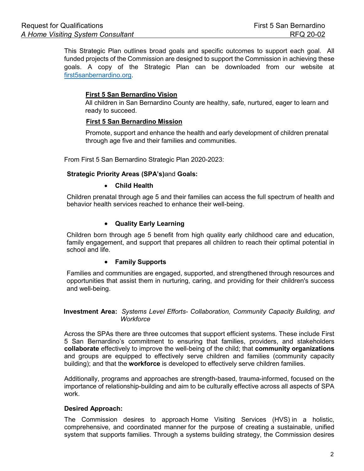This Strategic Plan outlines broad goals and specific outcomes to support each goal. All funded projects of the Commission are designed to support the Commission in achieving these goals. A copy of the Strategic Plan can be downloaded from our website at [first5sanbernardino.org.](https://first5sanbernardino.org/Portals/39/pdf/SP20152020_Rev042019.pdf?ver=2019-04-26-141519-463)

#### **First 5 San Bernardino Vision**

All children in San Bernardino County are healthy, safe, nurtured, eager to learn and ready to succeed.

#### **First 5 San Bernardino Mission**

Promote, support and enhance the health and early development of children prenatal through age five and their families and communities.

From First 5 San Bernardino Strategic Plan 2020-2023:

#### **Strategic Priority Areas (SPA's)**and **Goals:**

#### • **Child Health**

Children prenatal through age 5 and their families can access the full spectrum of health and behavior health services reached to enhance their well-being.

#### • **Quality Early Learning**

Children born through age 5 benefit from high quality early childhood care and education, family engagement, and support that prepares all children to reach their optimal potential in school and life.

#### • **Family Supports**

Families and communities are engaged, supported, and strengthened through resources and opportunities that assist them in nurturing, caring, and providing for their children's success and well-being.

**Investment Area:** *Systems Level Efforts- Collaboration, Community Capacity Building, and Workforce*

Across the SPAs there are three outcomes that support efficient systems. These include First 5 San Bernardino's commitment to ensuring that families, providers, and stakeholders **collaborate** effectively to improve the well-being of the child; that **community organizations** and groups are equipped to effectively serve children and families (community capacity building); and that the **workforce** is developed to effectively serve children families.

Additionally, programs and approaches are strength-based, trauma-informed, focused on the importance of relationship-building and aim to be culturally effective across all aspects of SPA work.

#### **Desired Approach:**

The Commission desires to approach Home Visiting Services (HVS) in a holistic, comprehensive, and coordinated manner for the purpose of creating a sustainable, unified system that supports families. Through a systems building strategy, the Commission desires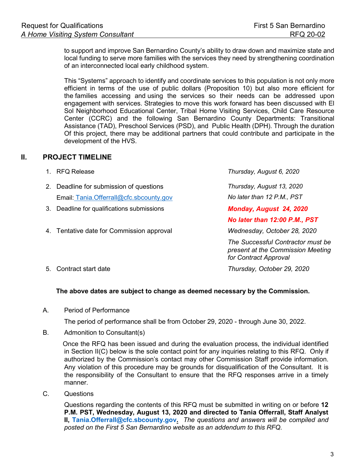to support and improve San Bernardino County's ability to draw down and maximize state and local funding to serve more families with the services they need by strengthening coordination of an interconnected local early childhood system.

This "Systems" approach to identify and coordinate services to this population is not only more efficient in terms of the use of public dollars (Proposition 10) but also more efficient for the families accessing and using the services so their needs can be addressed upon engagement with services. Strategies to move this work forward has been discussed with El Sol Neighborhood Educational Center, Tribal Home Visiting Services, Child Care Resource Center (CCRC) and the following San Bernardino County Departments: Transitional Assistance (TAD), Preschool Services (PSD), and Public Health (DPH). Through the duration Of this project, there may be additional partners that could contribute and participate in the development of the HVS.

# **II. PROJECT TIMELINE**

- 1. RFQ Release *Thursday, August 6, 2020*
- 2. Deadline for submission of questions Email: [Tania.Offerrall@cfc.sbcounty.gov](mailto:%20Tania.Offerrall@cfc.sbcounty.gov)
- 3. Deadline for qualifications submissions *Monday, August 24, 2020*
- 4. Tentative date for Commission approval *Wednesday, October 28, 2020*

*Thursday, August 13, 2020* 

*No later than 12 P.M., PST*

*No later than 12:00 P.M., PST*

*The Successful Contractor must be present at the Commission Meeting for Contract Approval*

5. Contract start date *Thursday, October 29, 2020*

# **The above dates are subject to change as deemed necessary by the Commission.**

A. Period of Performance

The period of performance shall be from October 29, 2020 - through June 30, 2022.

B. Admonition to Consultant(s)

 Once the RFQ has been issued and during the evaluation process, the individual identified in Section II(C) below is the sole contact point for any inquiries relating to this RFQ. Only if authorized by the Commission's contact may other Commission Staff provide information. Any violation of this procedure may be grounds for disqualification of the Consultant. It is the responsibility of the Consultant to ensure that the RFQ responses arrive in a timely manner.

C. Questions

Questions regarding the contents of this RFQ must be submitted in writing on or before **12 P.M. PST, Wednesday, August 13, 2020 and directed to Tania Offerrall, Staff Analyst II, Tania.Offerral[l@cfc.sbcounty.gov.](mailto:rrobinson@cfc.sbcounty.gov)** *The questions and answers will be compiled and posted on the First 5 San Bernardino website as an addendum to this RFQ.*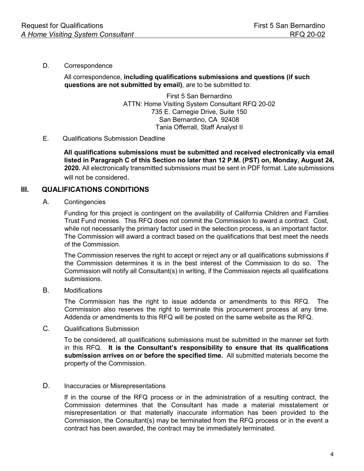D. Correspondence

All correspondence, **including qualifications submissions and questions (if such questions are not submitted by email)**, are to be submitted to:

> First 5 San Bernardino ATTN: Home Visiting System Consultant RFQ 20-02 735 E. Carnegie Drive, Suite 150 San Bernardino, CA 92408 Tania Offerrall, Staff Analyst II

#### E. Qualifications Submission Deadline

**All qualifications submissions must be submitted and received electronically via email listed in Paragraph C of this Section no later than 12 P.M. (PST) on, Monday, August 24, 2020.** All electronically transmitted submissions must be sent in PDF format. Late submissions will not be considered.

## **III. QUALIFICATIONS CONDITIONS**

A. Contingencies

Funding for this project is contingent on the availability of California Children and Families Trust Fund monies. This RFQ does not commit the Commission to award a contract. Cost, while not necessarily the primary factor used in the selection process, is an important factor. The Commission will award a contract based on the qualifications that best meet the needs of the Commission.

The Commission reserves the right to accept or reject any or all qualifications submissions if the Commission determines it is in the best interest of the Commission to do so. The Commission will notify all Consultant(s) in writing, if the Commission rejects all qualifications submissions.

B. Modifications

The Commission has the right to issue addenda or amendments to this RFQ. The Commission also reserves the right to terminate this procurement process at any time. Addenda or amendments to this RFQ will be posted on the same website as the RFQ.

C. Qualifications Submission

To be considered, all qualifications submissions must be submitted in the manner set forth in this RFQ. **It is the Consultant's responsibility to ensure that its qualifications submission arrives on or before the specified time.** All submitted materials become the property of the Commission.

#### D. Inaccuracies or Misrepresentations

If in the course of the RFQ process or in the administration of a resulting contract, the Commission determines that the Consultant has made a material misstatement or misrepresentation or that materially inaccurate information has been provided to the Commission, the Consultant(s) may be terminated from the RFQ process or in the event a contract has been awarded, the contract may be immediately terminated.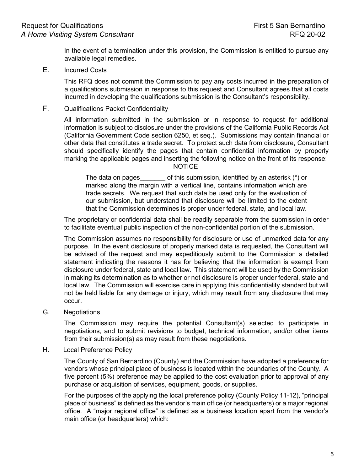In the event of a termination under this provision, the Commission is entitled to pursue any available legal remedies.

E. Incurred Costs

This RFQ does not commit the Commission to pay any costs incurred in the preparation of a qualifications submission in response to this request and Consultant agrees that all costs incurred in developing the qualifications submission is the Consultant's responsibility.

F. Qualifications Packet Confidentiality

All information submitted in the submission or in response to request for additional information is subject to disclosure under the provisions of the California Public Records Act (California Government Code section 6250, et seq.). Submissions may contain financial or other data that constitutes a trade secret. To protect such data from disclosure, Consultant should specifically identify the pages that contain confidential information by properly marking the applicable pages and inserting the following notice on the front of its response: **NOTICE** 

The data on pages of this submission, identified by an asterisk  $(*)$  or marked along the margin with a vertical line, contains information which are trade secrets. We request that such data be used only for the evaluation of our submission, but understand that disclosure will be limited to the extent that the Commission determines is proper under federal, state, and local law.

The proprietary or confidential data shall be readily separable from the submission in order to facilitate eventual public inspection of the non-confidential portion of the submission.

The Commission assumes no responsibility for disclosure or use of unmarked data for any purpose. In the event disclosure of properly marked data is requested, the Consultant will be advised of the request and may expeditiously submit to the Commission a detailed statement indicating the reasons it has for believing that the information is exempt from disclosure under federal, state and local law. This statement will be used by the Commission in making its determination as to whether or not disclosure is proper under federal, state and local law. The Commission will exercise care in applying this confidentiality standard but will not be held liable for any damage or injury, which may result from any disclosure that may occur.

G. Negotiations

The Commission may require the potential Consultant(s) selected to participate in negotiations, and to submit revisions to budget, technical information, and/or other items from their submission(s) as may result from these negotiations.

H. Local Preference Policy

The County of San Bernardino (County) and the Commission have adopted a preference for vendors whose principal place of business is located within the boundaries of the County. A five percent (5%) preference may be applied to the cost evaluation prior to approval of any purchase or acquisition of services, equipment, goods, or supplies.

For the purposes of the applying the local preference policy (County Policy 11-12), "principal place of business" is defined as the vendor's main office (or headquarters) or a major regional office. A "major regional office" is defined as a business location apart from the vendor's main office (or headquarters) which: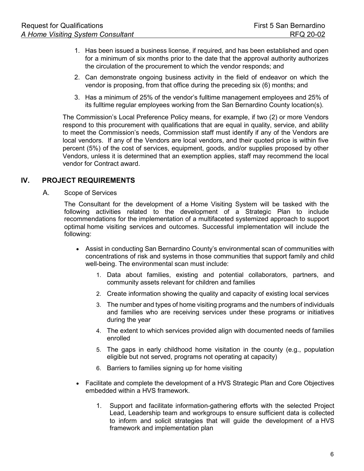- 1. Has been issued a business license, if required, and has been established and open for a minimum of six months prior to the date that the approval authority authorizes the circulation of the procurement to which the vendor responds; and
- 2. Can demonstrate ongoing business activity in the field of endeavor on which the vendor is proposing, from that office during the preceding six (6) months; and
- 3. Has a minimum of 25% of the vendor's fulltime management employees and 25% of its fulltime regular employees working from the San Bernardino County location(s).

The Commission's Local Preference Policy means, for example, if two (2) or more Vendors respond to this procurement with qualifications that are equal in quality, service, and ability to meet the Commission's needs, Commission staff must identify if any of the Vendors are local vendors. If any of the Vendors are local vendors, and their quoted price is within five percent (5%) of the cost of services, equipment, goods, and/or supplies proposed by other Vendors, unless it is determined that an exemption applies, staff may recommend the local vendor for Contract award.

# **IV. PROJECT REQUIREMENTS**

A. Scope of Services

The Consultant for the development of a Home Visiting System will be tasked with the following activities related to the development of a Strategic Plan to include recommendations for the implementation of a multifaceted systemized approach to support optimal home visiting services and outcomes. Successful implementation will include the following:

- Assist in conducting San Bernardino County's environmental scan of communities with concentrations of risk and systems in those communities that support family and child well-being. The environmental scan must include:
	- 1. Data about families, existing and potential collaborators, partners, and community assets relevant for children and families
	- 2. Create information showing the quality and capacity of existing local services
	- 3. The number and types of home visiting programs and the numbers of individuals and families who are receiving services under these programs or initiatives during the year
	- 4. The extent to which services provided align with documented needs of families enrolled
	- 5. The gaps in early childhood home visitation in the county (e.g., population eligible but not served, programs not operating at capacity)
	- 6. Barriers to families signing up for home visiting
- Facilitate and complete the development of a HVS Strategic Plan and Core Objectives embedded within a HVS framework.
	- 1. Support and facilitate information-gathering efforts with the selected Project Lead, Leadership team and workgroups to ensure sufficient data is collected to inform and solicit strategies that will guide the development of a HVS framework and implementation plan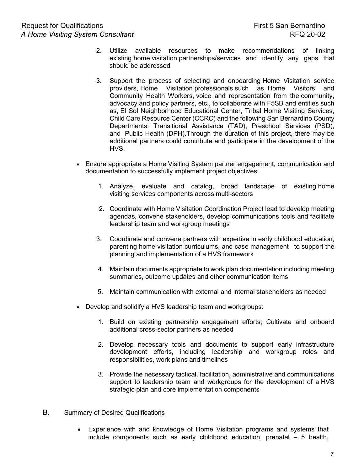- 2. Utilize available resources to make recommendations of linking existing home visitation partnerships/services and identify any gaps that should be addressed
- 3. Support the process of selecting and onboarding Home Visitation service providers, Home Visitation professionals such as, Home Visitors and Community Health Workers, voice and representation from the community, advocacy and policy partners, etc., to collaborate with F5SB and entities such as, El Sol Neighborhood Educational Center, Tribal Home Visiting Services, Child Care Resource Center (CCRC) and the following San Bernardino County Departments: Transitional Assistance (TAD), Preschool Services (PSD), and Public Health (DPH).Through the duration of this project, there may be additional partners could contribute and participate in the development of the HVS.
- Ensure appropriate a Home Visiting System partner engagement, communication and documentation to successfully implement project objectives:
	- 1. Analyze, evaluate and catalog, broad landscape of existing home visiting services components across multi-sectors
	- 2. Coordinate with Home Visitation Coordination Project lead to develop meeting agendas, convene stakeholders, develop communications tools and facilitate leadership team and workgroup meetings
	- 3. Coordinate and convene partners with expertise in early childhood education, parenting home visitation curriculums, and case management to support the planning and implementation of a HVS framework
	- 4. Maintain documents appropriate to work plan documentation including meeting summaries, outcome updates and other communication items
	- 5. Maintain communication with external and internal stakeholders as needed
- Develop and solidify a HVS leadership team and workgroups:
	- 1. Build on existing partnership engagement efforts; Cultivate and onboard additional cross-sector partners as needed
	- 2. Develop necessary tools and documents to support early infrastructure development efforts, including leadership and workgroup roles and responsibilities, work plans and timelines
	- 3. Provide the necessary tactical, facilitation, administrative and communications support to leadership team and workgroups for the development of a HVS strategic plan and core implementation components
- B. Summary of Desired Qualifications
	- Experience with and knowledge of Home Visitation programs and systems that include components such as early childhood education, prenatal – 5 health,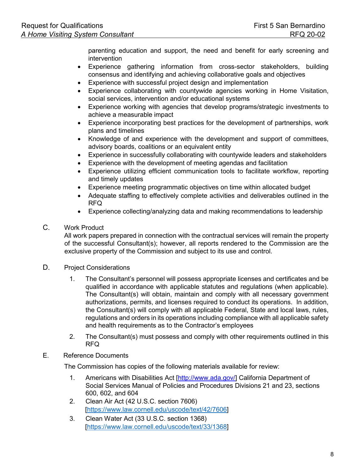parenting education and support, the need and benefit for early screening and intervention

- Experience gathering information from cross-sector stakeholders, building consensus and identifying and achieving collaborative goals and objectives
- Experience with successful project design and implementation
- Experience collaborating with countywide agencies working in Home Visitation, social services, intervention and/or educational systems
- Experience working with agencies that develop programs/strategic investments to achieve a measurable impact
- Experience incorporating best practices for the development of partnerships, work plans and timelines
- Knowledge of and experience with the development and support of committees, advisory boards, coalitions or an equivalent entity
- Experience in successfully collaborating with countywide leaders and stakeholders
- Experience with the development of meeting agendas and facilitation
- Experience utilizing efficient communication tools to facilitate workflow, reporting and timely updates
- Experience meeting programmatic objectives on time within allocated budget
- Adequate staffing to effectively complete activities and deliverables outlined in the RFQ
- Experience collecting/analyzing data and making recommendations to leadership
- C. Work Product

All work papers prepared in connection with the contractual services will remain the property of the successful Consultant(s); however, all reports rendered to the Commission are the exclusive property of the Commission and subject to its use and control.

- D. Project Considerations
	- 1. The Consultant's personnel will possess appropriate licenses and certificates and be qualified in accordance with applicable statutes and regulations (when applicable). The Consultant(s) will obtain, maintain and comply with all necessary government authorizations, permits, and licenses required to conduct its operations. In addition, the Consultant(s) will comply with all applicable Federal, State and local laws, rules, regulations and orders in its operations including compliance with all applicable safety and health requirements as to the Contractor's employees
	- 2. The Consultant(s) must possess and comply with other requirements outlined in this RFQ
- E. Reference Documents

The Commission has copies of the following materials available for review:

- 1. Americans with Disabilities Act [\[http://www.ada.gov/\]](http://www.ada.gov/) California Department of Social Services Manual of Policies and Procedures Divisions 21 and 23, sections 600, 602, and 604
- 2. Clean Air Act (42 U.S.C. section 7606) [\[https://www.law.cornell.edu/uscode/text/42/7606\]](http://www.law.cornell.edu/uscode/html/uscode42/usc_sec_42_00007606----000-.html)
- 3. Clean Water Act (33 U.S.C. section 1368) [\[https://www.law.cornell.edu/uscode/text/33/1368\]](http://www.law.cornell.edu/uscode/html/uscode33/usc_sec_33_00001368----000-.html)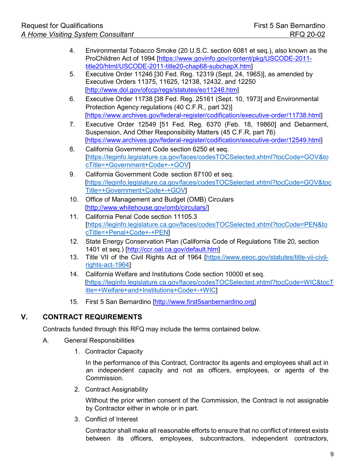- 4. Environmental Tobacco Smoke (20 U.S.C. section 6081 et seq.), also known as the ProChildren Act of 1994 [\[https://www.govinfo.gov/content/pkg/USCODE-2011](https://www.govinfo.gov/content/pkg/USCODE-2011-title20/html/USCODE-2011-title20-chap68-subchapX.htm) [title20/html/USCODE-2011-title20-chap68-subchapX.htm\]](https://www.govinfo.gov/content/pkg/USCODE-2011-title20/html/USCODE-2011-title20-chap68-subchapX.htm)
- 5. Executive Order 11246 [30 Fed. Reg. 12319 (Sept. 24, 1965)], as amended by Executive Orders 11375, 11625, 12138, 12432, and 12250 [\[http://www.dol.gov/ofccp/regs/statutes/eo11246.htm\]](http://www.dol.gov/ofccp/regs/statutes/eo11246.htm)
- 6. Executive Order 11738 [38 Fed. Reg. 25161 (Sept. 10, 1973] and Environmental Protection Agency regulations (40 C.F.R., part 32)] [\[https://www.archives.gov/federal-register/codification/executive-order/11738.html\]](http://www.epa.gov/isdc/eo11738.htm)
- 7. Executive Order 12549 [51 Fed. Reg. 6370 (Feb. 18, 19860] and Debarment, Suspension, And Other Responsibility Matters (45 C.F.R, part 76) [\[https://www.archives.gov/federal-register/codification/executive-order/12549.html\]](http://www.epa.gov/isdc/eo12549.htm)
- 8. California Government Code section 6250 et seq. [\[https://leginfo.legislature.ca.gov/faces/codesTOCSelected.xhtml?tocCode=GOV&to](https://leginfo.legislature.ca.gov/faces/codesTOCSelected.xhtml?tocCode=GOV&tocTitle=+Government+Code+-+GOV) [cTitle=+Government+Code+-+GOV](https://leginfo.legislature.ca.gov/faces/codesTOCSelected.xhtml?tocCode=GOV&tocTitle=+Government+Code+-+GOV)[\]](http://www.leginfo.ca.gov/calaw.html)
- 9. California Government Code section 87100 et seq. [\[https://leginfo.legislature.ca.gov/faces/codesTOCSelected.xhtml?tocCode=GOV&toc](http://www.leginfo.ca.gov/calaw.html) [Title=+Government+Code+-+GOV\]](https://leginfo.legislature.ca.gov/faces/codesTOCSelected.xhtml?tocCode=GOV&tocTitle=+Government+Code+-+GOV)
- 10. Office of Management and Budget (OMB) Circulars [\[http://www.whitehouse.gov/omb/circulars/\]](http://www.whitehouse.gov/omb/circulars/)
- 11. California Penal Code section 11105.3 [\[https://leginfo.legislature.ca.gov/faces/codesTOCSelected.xhtml?tocCode=PEN&to](https://leginfo.legislature.ca.gov/faces/codesTOCSelected.xhtml?tocCode=PEN&tocTitle=+Penal+Code+-+PEN) [cTitle=+Penal+Code+-+PEN](https://leginfo.legislature.ca.gov/faces/codesTOCSelected.xhtml?tocCode=PEN&tocTitle=+Penal+Code+-+PEN)[\]](http://www.leginfo.ca.gov/calaw.html)
- 12. State Energy Conservation Plan (California Code of Regulations Title 20, section 1401 et seq.) [\[http://ccr.oal.ca.gov/default.htm\]](http://ccr.oal.ca.gov/default.htm)
- 13. Title VII of the Civil Rights Act of 1964 [\[https://www.eeoc.gov/statutes/title-vii-civil](https://www.eeoc.gov/statutes/title-vii-civil-rights-act-1964)[rights-act-1964](https://www.eeoc.gov/statutes/title-vii-civil-rights-act-1964)[\]](http://www.eeoc.gov/policy/vii.html)
- 14. California Welfare and Institutions Code section 10000 et seq. [\[https://leginfo.legislature.ca.gov/faces/codesTOCSelected.xhtml?tocCode=WIC&tocT](http://www.leginfo.ca.gov/calaw.html) [itle=+Welfare+and+Institutions+Code+-+WIC\]](https://leginfo.legislature.ca.gov/faces/codesTOCSelected.xhtml?tocCode=WIC&tocTitle=+Welfare+and+Institutions+Code+-+WIC)
- 15. First 5 San Bernardino [\[http://www.first5sanbernardino.org\]](http://www.first5sanbernardino.org/)

# **V. CONTRACT REQUIREMENTS**

Contracts funded through this RFQ may include the terms contained below.

- A. General Responsibilities
	- 1. Contractor Capacity

In the performance of this Contract, Contractor its agents and employees shall act in an independent capacity and not as officers, employees, or agents of the Commission.

2. Contract Assignability

Without the prior written consent of the Commission, the Contract is not assignable by Contractor either in whole or in part.

3. Conflict of Interest

Contractor shall make all reasonable efforts to ensure that no conflict of interest exists between its officers, employees, subcontractors, independent contractors,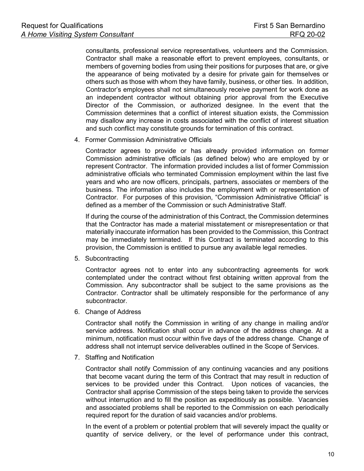consultants, professional service representatives, volunteers and the Commission. Contractor shall make a reasonable effort to prevent employees, consultants, or members of governing bodies from using their positions for purposes that are, or give the appearance of being motivated by a desire for private gain for themselves or others such as those with whom they have family, business, or other ties. In addition, Contractor's employees shall not simultaneously receive payment for work done as an independent contractor without obtaining prior approval from the Executive Director of the Commission, or authorized designee. In the event that the Commission determines that a conflict of interest situation exists, the Commission may disallow any increase in costs associated with the conflict of interest situation and such conflict may constitute grounds for termination of this contract.

4. Former Commission Administrative Officials

Contractor agrees to provide or has already provided information on former Commission administrative officials (as defined below) who are employed by or represent Contractor. The information provided includes a list of former Commission administrative officials who terminated Commission employment within the last five years and who are now officers, principals, partners, associates or members of the business. The information also includes the employment with or representation of Contractor. For purposes of this provision, "Commission Administrative Official" is defined as a member of the Commission or such Administrative Staff.

If during the course of the administration of this Contract, the Commission determines that the Contractor has made a material misstatement or misrepresentation or that materially inaccurate information has been provided to the Commission, this Contract may be immediately terminated. If this Contract is terminated according to this provision, the Commission is entitled to pursue any available legal remedies.

5. Subcontracting

Contractor agrees not to enter into any subcontracting agreements for work contemplated under the contract without first obtaining written approval from the Commission. Any subcontractor shall be subject to the same provisions as the Contractor. Contractor shall be ultimately responsible for the performance of any subcontractor.

6. Change of Address

Contractor shall notify the Commission in writing of any change in mailing and/or service address. Notification shall occur in advance of the address change. At a minimum, notification must occur within five days of the address change. Change of address shall not interrupt service deliverables outlined in the Scope of Services.

7. Staffing and Notification

Contractor shall notify Commission of any continuing vacancies and any positions that become vacant during the term of this Contract that may result in reduction of services to be provided under this Contract. Upon notices of vacancies, the Contractor shall apprise Commission of the steps being taken to provide the services without interruption and to fill the position as expeditiously as possible. Vacancies and associated problems shall be reported to the Commission on each periodically required report for the duration of said vacancies and/or problems.

In the event of a problem or potential problem that will severely impact the quality or quantity of service delivery, or the level of performance under this contract,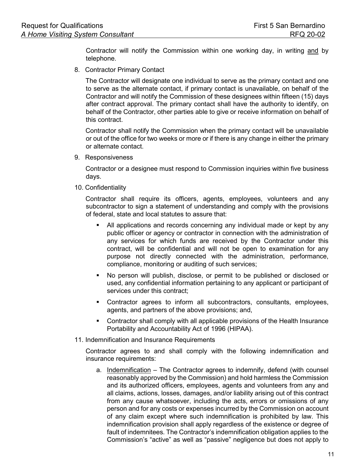Contractor will notify the Commission within one working day, in writing and by telephone.

8. Contractor Primary Contact

The Contractor will designate one individual to serve as the primary contact and one to serve as the alternate contact, if primary contact is unavailable, on behalf of the Contractor and will notify the Commission of these designees within fifteen (15) days after contract approval. The primary contact shall have the authority to identify, on behalf of the Contractor, other parties able to give or receive information on behalf of this contract.

Contractor shall notify the Commission when the primary contact will be unavailable or out of the office for two weeks or more or if there is any change in either the primary or alternate contact.

9. Responsiveness

Contractor or a designee must respond to Commission inquiries within five business days.

10. Confidentiality

Contractor shall require its officers, agents, employees, volunteers and any subcontractor to sign a statement of understanding and comply with the provisions of federal, state and local statutes to assure that:

- All applications and records concerning any individual made or kept by any public officer or agency or contractor in connection with the administration of any services for which funds are received by the Contractor under this contract, will be confidential and will not be open to examination for any purpose not directly connected with the administration, performance, compliance, monitoring or auditing of such services;
- No person will publish, disclose, or permit to be published or disclosed or used, any confidential information pertaining to any applicant or participant of services under this contract;
- Contractor agrees to inform all subcontractors, consultants, employees, agents, and partners of the above provisions; and,
- **•** Contractor shall comply with all applicable provisions of the Health Insurance Portability and Accountability Act of 1996 (HIPAA).
- 11. Indemnification and Insurance Requirements

Contractor agrees to and shall comply with the following indemnification and insurance requirements:

a. Indemnification – The Contractor agrees to indemnify, defend (with counsel reasonably approved by the Commission) and hold harmless the Commission and its authorized officers, employees, agents and volunteers from any and all claims, actions, losses, damages, and/or liability arising out of this contract from any cause whatsoever, including the acts, errors or omissions of any person and for any costs or expenses incurred by the Commission on account of any claim except where such indemnification is prohibited by law. This indemnification provision shall apply regardless of the existence or degree of fault of indemnitees. The Contractor's indemnification obligation applies to the Commission's "active" as well as "passive" negligence but does not apply to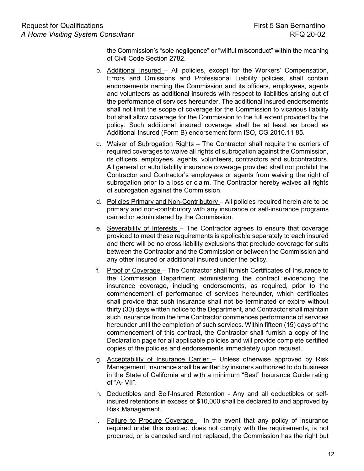the Commission's "sole negligence" or "willful misconduct" within the meaning of Civil Code Section 2782.

- b. Additional Insured All policies, except for the Workers' Compensation, Errors and Omissions and Professional Liability policies, shall contain endorsements naming the Commission and its officers, employees, agents and volunteers as additional insureds with respect to liabilities arising out of the performance of services hereunder. The additional insured endorsements shall not limit the scope of coverage for the Commission to vicarious liability but shall allow coverage for the Commission to the full extent provided by the policy. Such additional insured coverage shall be at least as broad as Additional Insured (Form B) endorsement form ISO, CG 2010.11 85.
- c. Waiver of Subrogation Rights The Contractor shall require the carriers of required coverages to waive all rights of subrogation against the Commission, its officers, employees, agents, volunteers, contractors and subcontractors. All general or auto liability insurance coverage provided shall not prohibit the Contractor and Contractor's employees or agents from waiving the right of subrogation prior to a loss or claim. The Contractor hereby waives all rights of subrogation against the Commission.
- d. Policies Primary and Non-Contributory All policies required herein are to be primary and non-contributory with any insurance or self-insurance programs carried or administered by the Commission.
- e. Severability of Interests The Contractor agrees to ensure that coverage provided to meet these requirements is applicable separately to each insured and there will be no cross liability exclusions that preclude coverage for suits between the Contractor and the Commission or between the Commission and any other insured or additional insured under the policy.
- f. Proof of Coverage The Contractor shall furnish Certificates of Insurance to the Commission Department administering the contract evidencing the insurance coverage, including endorsements, as required, prior to the commencement of performance of services hereunder, which certificates shall provide that such insurance shall not be terminated or expire without thirty (30) days written notice to the Department, and Contractor shall maintain such insurance from the time Contractor commences performance of services hereunder until the completion of such services. Within fifteen (15) days of the commencement of this contract, the Contractor shall furnish a copy of the Declaration page for all applicable policies and will provide complete certified copies of the policies and endorsements immediately upon request.
- g. Acceptability of Insurance Carrier Unless otherwise approved by Risk Management, insurance shall be written by insurers authorized to do business in the State of California and with a minimum "Best" Insurance Guide rating of "A- VII".
- h. Deductibles and Self-Insured Retention Any and all deductibles or selfinsured retentions in excess of \$10,000 shall be declared to and approved by Risk Management.
- i. Failure to Procure Coverage In the event that any policy of insurance required under this contract does not comply with the requirements, is not procured, or is canceled and not replaced, the Commission has the right but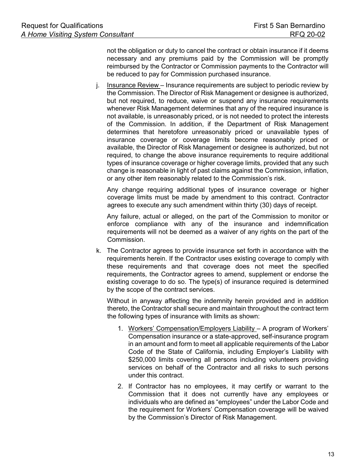not the obligation or duty to cancel the contract or obtain insurance if it deems necessary and any premiums paid by the Commission will be promptly reimbursed by the Contractor or Commission payments to the Contractor will be reduced to pay for Commission purchased insurance.

j. Insurance Review – Insurance requirements are subject to periodic review by the Commission. The Director of Risk Management or designee is authorized, but not required, to reduce, waive or suspend any insurance requirements whenever Risk Management determines that any of the required insurance is not available, is unreasonably priced, or is not needed to protect the interests of the Commission. In addition, if the Department of Risk Management determines that heretofore unreasonably priced or unavailable types of insurance coverage or coverage limits become reasonably priced or available, the Director of Risk Management or designee is authorized, but not required, to change the above insurance requirements to require additional types of insurance coverage or higher coverage limits, provided that any such change is reasonable in light of past claims against the Commission, inflation, or any other item reasonably related to the Commission's risk.

Any change requiring additional types of insurance coverage or higher coverage limits must be made by amendment to this contract. Contractor agrees to execute any such amendment within thirty (30) days of receipt.

Any failure, actual or alleged, on the part of the Commission to monitor or enforce compliance with any of the insurance and indemnification requirements will not be deemed as a waiver of any rights on the part of the Commission.

k. The Contractor agrees to provide insurance set forth in accordance with the requirements herein. If the Contractor uses existing coverage to comply with these requirements and that coverage does not meet the specified requirements, the Contractor agrees to amend, supplement or endorse the existing coverage to do so. The type(s) of insurance required is determined by the scope of the contract services.

Without in anyway affecting the indemnity herein provided and in addition thereto, the Contractor shall secure and maintain throughout the contract term the following types of insurance with limits as shown:

- 1. Workers' Compensation/Employers Liability A program of Workers' Compensation insurance or a state-approved, self-insurance program in an amount and form to meet all applicable requirements of the Labor Code of the State of California, including Employer's Liability with \$250,000 limits covering all persons including volunteers providing services on behalf of the Contractor and all risks to such persons under this contract.
- 2. If Contractor has no employees, it may certify or warrant to the Commission that it does not currently have any employees or individuals who are defined as "employees" under the Labor Code and the requirement for Workers' Compensation coverage will be waived by the Commission's Director of Risk Management.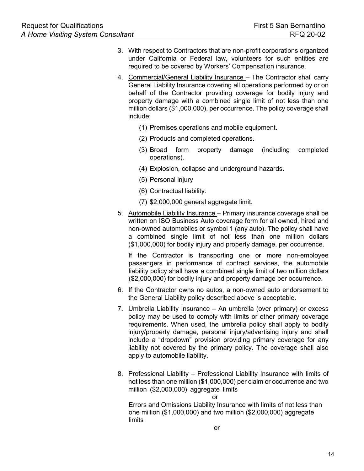- 3. With respect to Contractors that are non-profit corporations organized under California or Federal law, volunteers for such entities are required to be covered by Workers' Compensation insurance.
- 4. Commercial/General Liability Insurance The Contractor shall carry General Liability Insurance covering all operations performed by or on behalf of the Contractor providing coverage for bodily injury and property damage with a combined single limit of not less than one million dollars (\$1,000,000), per occurrence. The policy coverage shall include:
	- (1) Premises operations and mobile equipment.
	- (2) Products and completed operations.
	- (3) Broad form property damage (including completed operations).
	- (4) Explosion, collapse and underground hazards.
	- (5) Personal injury
	- (6) Contractual liability.
	- (7) \$2,000,000 general aggregate limit.
- 5. Automobile Liability Insurance Primary insurance coverage shall be written on ISO Business Auto coverage form for all owned, hired and non-owned automobiles or symbol 1 (any auto). The policy shall have a combined single limit of not less than one million dollars (\$1,000,000) for bodily injury and property damage, per occurrence.

If the Contractor is transporting one or more non-employee passengers in performance of contract services, the automobile liability policy shall have a combined single limit of two million dollars (\$2,000,000) for bodily injury and property damage per occurrence.

- 6. If the Contractor owns no autos, a non-owned auto endorsement to the General Liability policy described above is acceptable.
- 7. Umbrella Liability Insurance An umbrella (over primary) or excess policy may be used to comply with limits or other primary coverage requirements. When used, the umbrella policy shall apply to bodily injury/property damage, personal injury/advertising injury and shall include a "dropdown" provision providing primary coverage for any liability not covered by the primary policy. The coverage shall also apply to automobile liability.
- 8. Professional Liability Professional Liability Insurance with limits of not less than one million (\$1,000,000) per claim or occurrence and two million (\$2,000,000) aggregate limits

or **Errors and Omissions Liability Insurance with limits of not less than** one million (\$1,000,000) and two million (\$2,000,000) aggregate limits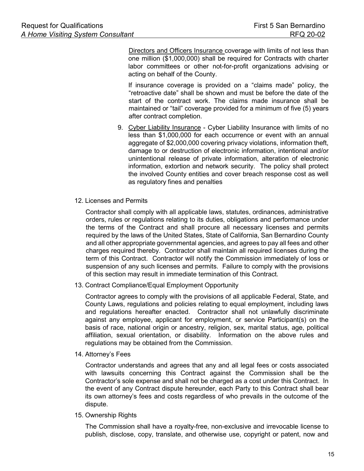Directors and Officers Insurance coverage with limits of not less than one million (\$1,000,000) shall be required for Contracts with charter labor committees or other not-for-profit organizations advising or acting on behalf of the County.

If insurance coverage is provided on a "claims made" policy, the "retroactive date" shall be shown and must be before the date of the start of the contract work. The claims made insurance shall be maintained or "tail" coverage provided for a minimum of five (5) years after contract completion.

- 9. Cyber Liability Insurance Cyber Liability Insurance with limits of no less than \$1,000,000 for each occurrence or event with an annual aggregate of \$2,000,000 covering privacy violations, information theft, damage to or destruction of electronic information, intentional and/or unintentional release of private information, alteration of electronic information, extortion and network security. The policy shall protect the involved County entities and cover breach response cost as well as regulatory fines and penalties
- 12. Licenses and Permits

Contractor shall comply with all applicable laws, statutes, ordinances, administrative orders, rules or regulations relating to its duties, obligations and performance under the terms of the Contract and shall procure all necessary licenses and permits required by the laws of the United States, State of California, San Bernardino County and all other appropriate governmental agencies, and agrees to pay all fees and other charges required thereby. Contractor shall maintain all required licenses during the term of this Contract. Contractor will notify the Commission immediately of loss or suspension of any such licenses and permits. Failure to comply with the provisions of this section may result in immediate termination of this Contract.

13. Contract Compliance/Equal Employment Opportunity

 Contractor agrees to comply with the provisions of all applicable Federal, State, and County Laws, regulations and policies relating to equal employment, including laws and regulations hereafter enacted. Contractor shall not unlawfully discriminate against any employee, applicant for employment, or service Participant(s) on the basis of race, national origin or ancestry, religion, sex, marital status, age, political affiliation, sexual orientation, or disability. Information on the above rules and regulations may be obtained from the Commission.

14. Attorney's Fees

 Contractor understands and agrees that any and all legal fees or costs associated with lawsuits concerning this Contract against the Commission shall be the Contractor's sole expense and shall not be charged as a cost under this Contract. In the event of any Contract dispute hereunder, each Party to this Contract shall bear its own attorney's fees and costs regardless of who prevails in the outcome of the dispute.

15. Ownership Rights

 The Commission shall have a royalty-free, non-exclusive and irrevocable license to publish, disclose, copy, translate, and otherwise use, copyright or patent, now and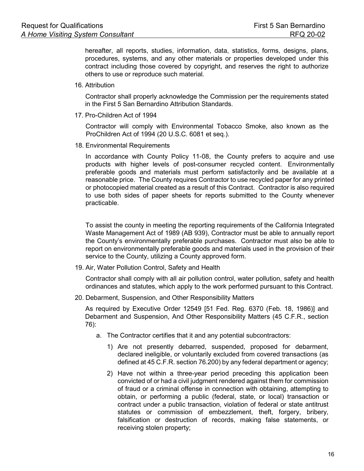hereafter, all reports, studies, information, data, statistics, forms, designs, plans, procedures, systems, and any other materials or properties developed under this contract including those covered by copyright, and reserves the right to authorize others to use or reproduce such material*.* 

16. Attribution

 Contractor shall properly acknowledge the Commission per the requirements stated in the First 5 San Bernardino Attribution Standards.

17. Pro-Children Act of 1994

Contractor will comply with Environmental Tobacco Smoke, also known as the ProChildren Act of 1994 (20 U.S.C. 6081 et seq.).

18. Environmental Requirements

In accordance with County Policy 11-08, the County prefers to acquire and use products with higher levels of post-consumer recycled content. Environmentally preferable goods and materials must perform satisfactorily and be available at a reasonable price. The County requires Contractor to use recycled paper for any printed or photocopied material created as a result of this Contract. Contractor is also required to use both sides of paper sheets for reports submitted to the County whenever practicable.

To assist the county in meeting the reporting requirements of the California Integrated Waste Management Act of 1989 (AB 939), Contractor must be able to annually report the County's environmentally preferable purchases. Contractor must also be able to report on environmentally preferable goods and materials used in the provision of their service to the County, utilizing a County approved form.

19. Air, Water Pollution Control, Safety and Health

Contractor shall comply with all air pollution control, water pollution, safety and health ordinances and statutes, which apply to the work performed pursuant to this Contract.

20. Debarment, Suspension, and Other Responsibility Matters

 As required by Executive Order 12549 [51 Fed. Reg. 6370 (Feb. 18, 1986)] and Debarment and Suspension, And Other Responsibility Matters (45 C.F.R., section 76):

- a. The Contractor certifies that it and any potential subcontractors:
	- 1) Are not presently debarred, suspended, proposed for debarment, declared ineligible, or voluntarily excluded from covered transactions (as defined at 45 C.F.R. section 76.200) by any federal department or agency;
	- 2) Have not within a three-year period preceding this application been convicted of or had a civil judgment rendered against them for commission of fraud or a criminal offense in connection with obtaining, attempting to obtain, or performing a public (federal, state, or local) transaction or contract under a public transaction, violation of federal or state antitrust statutes or commission of embezzlement, theft, forgery, bribery, falsification or destruction of records, making false statements, or receiving stolen property;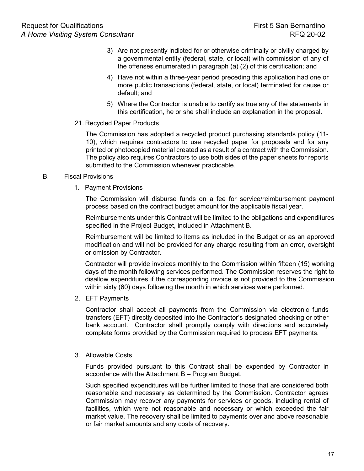- 3) Are not presently indicted for or otherwise criminally or civilly charged by a governmental entity (federal, state, or local) with commission of any of the offenses enumerated in paragraph (a) (2) of this certification; and
- 4) Have not within a three-year period preceding this application had one or more public transactions (federal, state, or local) terminated for cause or default; and
- 5) Where the Contractor is unable to certify as true any of the statements in this certification, he or she shall include an explanation in the proposal.

#### 21. Recycled Paper Products

The Commission has adopted a recycled product purchasing standards policy (11- 10), which requires contractors to use recycled paper for proposals and for any printed or photocopied material created as a result of a contract with the Commission. The policy also requires Contractors to use both sides of the paper sheets for reports submitted to the Commission whenever practicable.

#### B. Fiscal Provisions

1. Payment Provisions

The Commission will disburse funds on a fee for service/reimbursement payment process based on the contract budget amount for the applicable fiscal year.

Reimbursements under this Contract will be limited to the obligations and expenditures specified in the Project Budget, included in Attachment B.

Reimbursement will be limited to items as included in the Budget or as an approved modification and will not be provided for any charge resulting from an error, oversight or omission by Contractor.

Contractor will provide invoices monthly to the Commission within fifteen (15) working days of the month following services performed. The Commission reserves the right to disallow expenditures if the corresponding invoice is not provided to the Commission within sixty (60) days following the month in which services were performed.

2. EFT Payments

Contractor shall accept all payments from the Commission via electronic funds transfers (EFT) directly deposited into the Contractor's designated checking or other bank account. Contractor shall promptly comply with directions and accurately complete forms provided by the Commission required to process EFT payments.

3. Allowable Costs

Funds provided pursuant to this Contract shall be expended by Contractor in accordance with the Attachment B – Program Budget.

Such specified expenditures will be further limited to those that are considered both reasonable and necessary as determined by the Commission. Contractor agrees Commission may recover any payments for services or goods, including rental of facilities, which were not reasonable and necessary or which exceeded the fair market value. The recovery shall be limited to payments over and above reasonable or fair market amounts and any costs of recovery.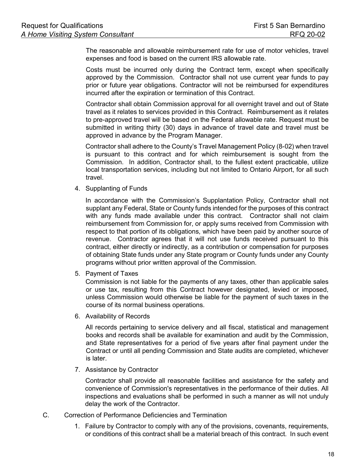The reasonable and allowable reimbursement rate for use of motor vehicles, travel expenses and food is based on the current IRS allowable rate.

Costs must be incurred only during the Contract term, except when specifically approved by the Commission. Contractor shall not use current year funds to pay prior or future year obligations. Contractor will not be reimbursed for expenditures incurred after the expiration or termination of this Contract.

Contractor shall obtain Commission approval for all overnight travel and out of State travel as it relates to services provided in this Contract. Reimbursement as it relates to pre-approved travel will be based on the Federal allowable rate. Request must be submitted in writing thirty (30) days in advance of travel date and travel must be approved in advance by the Program Manager.

Contractor shall adhere to the County's Travel Management Policy (8-02) when travel is pursuant to this contract and for which reimbursement is sought from the Commission. In addition, Contractor shall, to the fullest extent practicable, utilize local transportation services, including but not limited to Ontario Airport, for all such travel.

4. Supplanting of Funds

In accordance with the Commission's Supplantation Policy, Contractor shall not supplant any Federal, State or County funds intended for the purposes of this contract with any funds made available under this contract. Contractor shall not claim reimbursement from Commission for, or apply sums received from Commission with respect to that portion of its obligations, which have been paid by another source of revenue. Contractor agrees that it will not use funds received pursuant to this contract, either directly or indirectly, as a contribution or compensation for purposes of obtaining State funds under any State program or County funds under any County programs without prior written approval of the Commission.

5. Payment of Taxes

Commission is not liable for the payments of any taxes, other than applicable sales or use tax, resulting from this Contract however designated, levied or imposed, unless Commission would otherwise be liable for the payment of such taxes in the course of its normal business operations.

6. Availability of Records

All records pertaining to service delivery and all fiscal, statistical and management books and records shall be available for examination and audit by the Commission, and State representatives for a period of five years after final payment under the Contract or until all pending Commission and State audits are completed, whichever is later.

7. Assistance by Contractor

 Contractor shall provide all reasonable facilities and assistance for the safety and convenience of Commission's representatives in the performance of their duties. All inspections and evaluations shall be performed in such a manner as will not unduly delay the work of the Contractor.

- C. Correction of Performance Deficiencies and Termination
	- 1. Failure by Contractor to comply with any of the provisions, covenants, requirements, or conditions of this contract shall be a material breach of this contract. In such event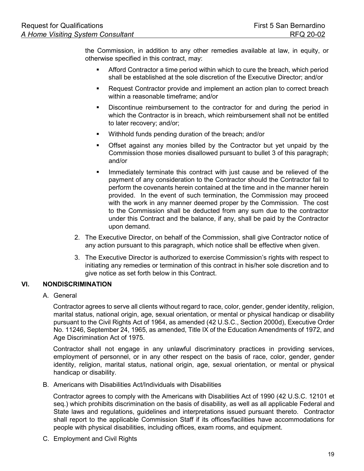the Commission, in addition to any other remedies available at law, in equity, or otherwise specified in this contract, may:

- Afford Contractor a time period within which to cure the breach, which period shall be established at the sole discretion of the Executive Director; and/or
- **Request Contractor provide and implement an action plan to correct breach** within a reasonable timeframe; and/or
- Discontinue reimbursement to the contractor for and during the period in which the Contractor is in breach, which reimbursement shall not be entitled to later recovery; and/or;
- Withhold funds pending duration of the breach; and/or
- Offset against any monies billed by the Contractor but yet unpaid by the Commission those monies disallowed pursuant to bullet 3 of this paragraph; and/or
- Immediately terminate this contract with just cause and be relieved of the payment of any consideration to the Contractor should the Contractor fail to perform the covenants herein contained at the time and in the manner herein provided. In the event of such termination, the Commission may proceed with the work in any manner deemed proper by the Commission. The cost to the Commission shall be deducted from any sum due to the contractor under this Contract and the balance, if any, shall be paid by the Contractor upon demand.
- 2. The Executive Director, on behalf of the Commission, shall give Contractor notice of any action pursuant to this paragraph, which notice shall be effective when given.
- 3. The Executive Director is authorized to exercise Commission's rights with respect to initiating any remedies or termination of this contract in his/her sole discretion and to give notice as set forth below in this Contract.

# **VI. NONDISCRIMINATION**

A. General

Contractor agrees to serve all clients without regard to race, color, gender, gender identity, religion, marital status, national origin, age, sexual orientation, or mental or physical handicap or disability pursuant to the Civil Rights Act of 1964, as amended (42 U.S.C., Section 2000d), Executive Order No. 11246, September 24, 1965, as amended, Title IX of the Education Amendments of 1972, and Age Discrimination Act of 1975.

Contractor shall not engage in any unlawful discriminatory practices in providing services, employment of personnel, or in any other respect on the basis of race, color, gender, gender identity, religion, marital status, national origin, age, sexual orientation, or mental or physical handicap or disability.

B. Americans with Disabilities Act/Individuals with Disabilities

Contractor agrees to comply with the Americans with Disabilities Act of 1990 (42 U.S.C. 12101 et seq.) which prohibits discrimination on the basis of disability, as well as all applicable Federal and State laws and regulations, guidelines and interpretations issued pursuant thereto. Contractor shall report to the applicable Commission Staff if its offices/facilities have accommodations for people with physical disabilities, including offices, exam rooms, and equipment.

C. Employment and Civil Rights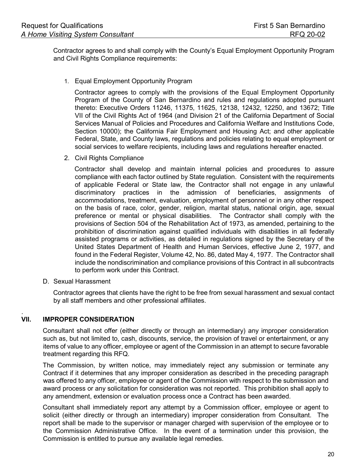Contractor agrees to and shall comply with the County's Equal Employment Opportunity Program and Civil Rights Compliance requirements:

1. Equal Employment Opportunity Program

Contractor agrees to comply with the provisions of the Equal Employment Opportunity Program of the County of San Bernardino and rules and regulations adopted pursuant thereto: Executive Orders 11246, 11375, 11625, 12138, 12432, 12250, and 13672; Title VII of the Civil Rights Act of 1964 (and Division 21 of the California Department of Social Services Manual of Policies and Procedures and California Welfare and Institutions Code, Section 10000); the California Fair Employment and Housing Act; and other applicable Federal, State, and County laws, regulations and policies relating to equal employment or social services to welfare recipients, including laws and regulations hereafter enacted.

2. Civil Rights Compliance

Contractor shall develop and maintain internal policies and procedures to assure compliance with each factor outlined by State regulation. Consistent with the requirements of applicable Federal or State law, the Contractor shall not engage in any unlawful discriminatory practices in the admission of beneficiaries, assignments of accommodations, treatment, evaluation, employment of personnel or in any other respect on the basis of race, color, gender, religion, marital status, national origin, age, sexual preference or mental or physical disabilities. The Contractor shall comply with the provisions of Section 504 of the Rehabilitation Act of 1973, as amended, pertaining to the prohibition of discrimination against qualified individuals with disabilities in all federally assisted programs or activities, as detailed in regulations signed by the Secretary of the United States Department of Health and Human Services, effective June 2, 1977, and found in the Federal Register, Volume 42, No. 86, dated May 4, 1977. The Contractor shall include the nondiscrimination and compliance provisions of this Contract in all subcontracts to perform work under this Contract.

D. Sexual Harassment

Contractor agrees that clients have the right to be free from sexual harassment and sexual contact by all staff members and other professional affiliates.

#### . **VII. IMPROPER CONSIDERATION**

Consultant shall not offer (either directly or through an intermediary) any improper consideration such as, but not limited to, cash, discounts, service, the provision of travel or entertainment, or any items of value to any officer, employee or agent of the Commission in an attempt to secure favorable treatment regarding this RFQ.

The Commission, by written notice, may immediately reject any submission or terminate any Contract if it determines that any improper consideration as described in the preceding paragraph was offered to any officer, employee or agent of the Commission with respect to the submission and award process or any solicitation for consideration was not reported. This prohibition shall apply to any amendment, extension or evaluation process once a Contract has been awarded.

Consultant shall immediately report any attempt by a Commission officer, employee or agent to solicit (either directly or through an intermediary) improper consideration from Consultant. The report shall be made to the supervisor or manager charged with supervision of the employee or to the Commission Administrative Office. In the event of a termination under this provision, the Commission is entitled to pursue any available legal remedies.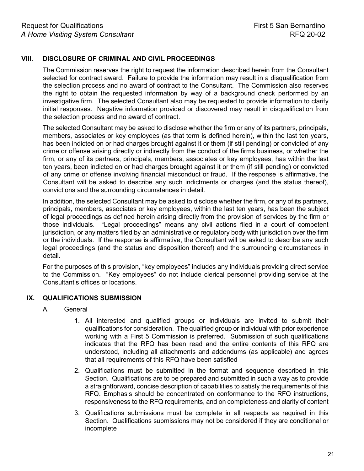# **VIII. DISCLOSURE OF CRIMINAL AND CIVIL PROCEEDINGS**

The Commission reserves the right to request the information described herein from the Consultant selected for contract award. Failure to provide the information may result in a disqualification from the selection process and no award of contract to the Consultant. The Commission also reserves the right to obtain the requested information by way of a background check performed by an investigative firm. The selected Consultant also may be requested to provide information to clarify initial responses. Negative information provided or discovered may result in disqualification from the selection process and no award of contract.

The selected Consultant may be asked to disclose whether the firm or any of its partners, principals, members, associates or key employees (as that term is defined herein), within the last ten years, has been indicted on or had charges brought against it or them (if still pending) or convicted of any crime or offense arising directly or indirectly from the conduct of the firms business, or whether the firm, or any of its partners, principals, members, associates or key employees, has within the last ten years, been indicted on or had charges brought against it or them (if still pending) or convicted of any crime or offense involving financial misconduct or fraud. If the response is affirmative, the Consultant will be asked to describe any such indictments or charges (and the status thereof), convictions and the surrounding circumstances in detail.

In addition, the selected Consultant may be asked to disclose whether the firm, or any of its partners, principals, members, associates or key employees, within the last ten years, has been the subject of legal proceedings as defined herein arising directly from the provision of services by the firm or those individuals. "Legal proceedings" means any civil actions filed in a court of competent jurisdiction, or any matters filed by an administrative or regulatory body with jurisdiction over the firm or the individuals. If the response is affirmative, the Consultant will be asked to describe any such legal proceedings (and the status and disposition thereof) and the surrounding circumstances in detail.

For the purposes of this provision, "key employees" includes any individuals providing direct service to the Commission. "Key employees" do not include clerical personnel providing service at the Consultant's offices or locations.

# **IX. QUALIFICATIONS SUBMISSION**

- A. General
	- 1. All interested and qualified groups or individuals are invited to submit their qualifications for consideration. The qualified group or individual with prior experience working with a First 5 Commission is preferred. Submission of such qualifications indicates that the RFQ has been read and the entire contents of this RFQ are understood, including all attachments and addendums (as applicable) and agrees that all requirements of this RFQ have been satisfied
	- 2. Qualifications must be submitted in the format and sequence described in this Section. Qualifications are to be prepared and submitted in such a way as to provide a straightforward, concise description of capabilities to satisfy the requirements of this RFQ. Emphasis should be concentrated on conformance to the RFQ instructions, responsiveness to the RFQ requirements, and on completeness and clarity of content
	- 3. Qualifications submissions must be complete in all respects as required in this Section. Qualifications submissions may not be considered if they are conditional or incomplete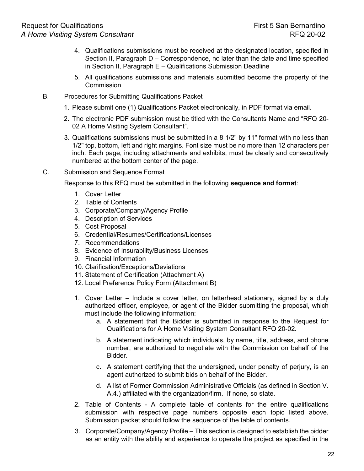- 4. Qualifications submissions must be received at the designated location, specified in Section II, Paragraph D – Correspondence, no later than the date and time specified in Section II, Paragraph E – Qualifications Submission Deadline
- 5. All qualifications submissions and materials submitted become the property of the **Commission**
- B. Procedures for Submitting Qualifications Packet
	- 1. Please submit one (1) Qualifications Packet electronically, in PDF format via email.
	- 2. The electronic PDF submission must be titled with the Consultants Name and "RFQ 20- 02 A Home Visiting System Consultant".
	- 3. Qualifications submissions must be submitted in a 8 1/2" by 11" format with no less than 1/2" top, bottom, left and right margins. Font size must be no more than 12 characters per inch. Each page, including attachments and exhibits, must be clearly and consecutively numbered at the bottom center of the page.
- C. Submission and Sequence Format

Response to this RFQ must be submitted in the following **sequence and format**:

- 1. Cover Letter
- 2. Table of Contents
- 3. Corporate/Company/Agency Profile
- 4. Description of Services
- 5. Cost Proposal
- 6. Credential/Resumes/Certifications/Licenses
- 7. Recommendations
- 8. Evidence of Insurability/Business Licenses
- 9. Financial Information
- 10. Clarification/Exceptions/Deviations
- 11. Statement of Certification (Attachment A)
- 12. Local Preference Policy Form (Attachment B)
- 1. Cover Letter Include a cover letter, on letterhead stationary, signed by a duly authorized officer, employee, or agent of the Bidder submitting the proposal, which must include the following information:
	- a. A statement that the Bidder is submitted in response to the Request for Qualifications for A Home Visiting System Consultant RFQ 20-02.
	- b. A statement indicating which individuals, by name, title, address, and phone number, are authorized to negotiate with the Commission on behalf of the Bidder.
	- c. A statement certifying that the undersigned, under penalty of perjury, is an agent authorized to submit bids on behalf of the Bidder.
	- d. A list of Former Commission Administrative Officials (as defined in Section V. A.4.) affiliated with the organization/firm. If none, so state.
- 2. Table of Contents A complete table of contents for the entire qualifications submission with respective page numbers opposite each topic listed above. Submission packet should follow the sequence of the table of contents.
- 3. Corporate/Company/Agency Profile This section is designed to establish the bidder as an entity with the ability and experience to operate the project as specified in the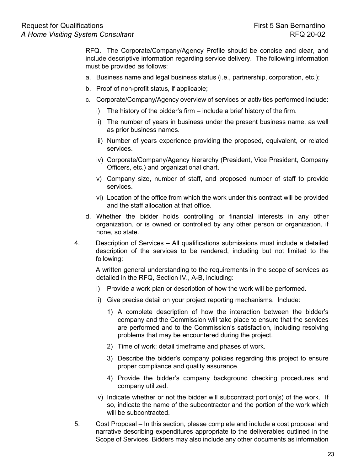RFQ. The Corporate/Company/Agency Profile should be concise and clear, and include descriptive information regarding service delivery. The following information must be provided as follows:

- a. Business name and legal business status (i.e., partnership, corporation, etc.);
- b. Proof of non-profit status, if applicable;
- c. Corporate/Company/Agency overview of services or activities performed include:
	- i) The history of the bidder's firm include a brief history of the firm.
	- ii) The number of years in business under the present business name, as well as prior business names.
	- iii) Number of years experience providing the proposed, equivalent, or related services.
	- iv) Corporate/Company/Agency hierarchy (President, Vice President, Company Officers, etc.) and organizational chart.
	- v) Company size, number of staff, and proposed number of staff to provide services.
	- vi) Location of the office from which the work under this contract will be provided and the staff allocation at that office.
- d. Whether the bidder holds controlling or financial interests in any other organization, or is owned or controlled by any other person or organization, if none, so state.
- 4. Description of Services All qualifications submissions must include a detailed description of the services to be rendered, including but not limited to the following:

A written general understanding to the requirements in the scope of services as detailed in the RFQ, Section IV., A-B, including:

- i) Provide a work plan or description of how the work will be performed.
- ii) Give precise detail on your project reporting mechanisms. Include:
	- 1) A complete description of how the interaction between the bidder's company and the Commission will take place to ensure that the services are performed and to the Commission's satisfaction, including resolving problems that may be encountered during the project.
	- 2) Time of work; detail timeframe and phases of work.
	- 3) Describe the bidder's company policies regarding this project to ensure proper compliance and quality assurance.
	- 4) Provide the bidder's company background checking procedures and company utilized.
- iv) Indicate whether or not the bidder will subcontract portion(s) of the work. If so, indicate the name of the subcontractor and the portion of the work which will be subcontracted.
- 5. Cost Proposal In this section, please complete and include a cost proposal and narrative describing expenditures appropriate to the deliverables outlined in the Scope of Services. Bidders may also include any other documents as information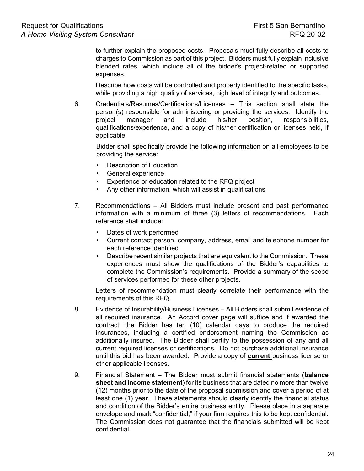to further explain the proposed costs. Proposals must fully describe all costs to charges to Commission as part of this project. Bidders must fully explain inclusive blended rates, which include all of the bidder's project-related or supported expenses.

Describe how costs will be controlled and properly identified to the specific tasks, while providing a high quality of services, high level of integrity and outcomes.

6. Credentials/Resumes/Certifications/Licenses – This section shall state the person(s) responsible for administering or providing the services. Identify the project manager and include his/her position, responsibilities, qualifications/experience, and a copy of his/her certification or licenses held, if applicable.

Bidder shall specifically provide the following information on all employees to be providing the service:

- Description of Education
- General experience
- Experience or education related to the RFQ project
- Any other information, which will assist in qualifications
- 7. Recommendations All Bidders must include present and past performance information with a minimum of three (3) letters of recommendations. Each reference shall include:
	- Dates of work performed
	- Current contact person, company, address, email and telephone number for each reference identified
	- Describe recent similar projects that are equivalent to the Commission. These experiences must show the qualifications of the Bidder's capabilities to complete the Commission's requirements. Provide a summary of the scope of services performed for these other projects.

Letters of recommendation must clearly correlate their performance with the requirements of this RFQ.

- 8. Evidence of Insurability/Business Licenses All Bidders shall submit evidence of all required insurance. An Accord cover page will suffice and if awarded the contract, the Bidder has ten (10) calendar days to produce the required insurances, including a certified endorsement naming the Commission as additionally insured. The Bidder shall certify to the possession of any and all current required licenses or certifications. Do not purchase additional insurance until this bid has been awarded. Provide a copy of **current** business license or other applicable licenses.
- 9. Financial Statement The Bidder must submit financial statements (**balance sheet and income statement**) for its business that are dated no more than twelve (12) months prior to the date of the proposal submission and cover a period of at least one (1) year. These statements should clearly identify the financial status and condition of the Bidder's entire business entity. Please place in a separate envelope and mark "confidential," if your firm requires this to be kept confidential. The Commission does not guarantee that the financials submitted will be kept confidential.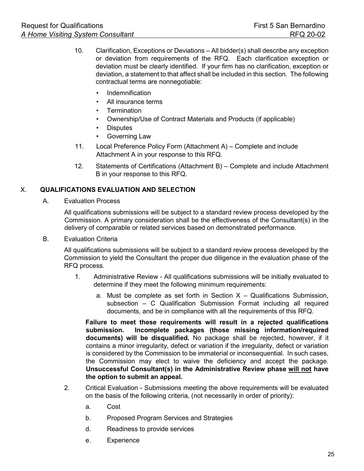- 10. Clarification, Exceptions or Deviations All bidder(s) shall describe any exception or deviation from requirements of the RFQ. Each clarification exception or deviation must be clearly identified. If your firm has no clarification, exception or deviation, a statement to that affect shall be included in this section. The following contractual terms are nonnegotiable:
	- Indemnification
	- All insurance terms
	- **Termination**
	- Ownership/Use of Contract Materials and Products (if applicable)
	- Disputes
	- Governing Law
- 11. Local Preference Policy Form (Attachment A) Complete and include Attachment A in your response to this RFQ.
- 12. Statements of Certifications (Attachment B) Complete and include Attachment B in your response to this RFQ.

# X. **QUALIFICATIONS EVALUATION AND SELECTION**

A. Evaluation Process

All qualifications submissions will be subject to a standard review process developed by the Commission. A primary consideration shall be the effectiveness of the Consultant(s) in the delivery of comparable or related services based on demonstrated performance.

B. Evaluation Criteria

All qualifications submissions will be subject to a standard review process developed by the Commission to yield the Consultant the proper due diligence in the evaluation phase of the RFQ process.

- 1. Administrative Review All qualifications submissions will be initially evaluated to determine if they meet the following minimum requirements:
	- a. Must be complete as set forth in Section  $X -$  Qualifications Submission, subsection – C Qualification Submission Format including all required documents, and be in compliance with all the requirements of this RFQ.

**Failure to meet these requirements will result in a rejected qualifications submission. Incomplete packages (those missing information/required documents) will be disqualified.** No package shall be rejected, however, if it contains a minor irregularity, defect or variation if the irregularity, defect or variation is considered by the Commission to be immaterial or inconsequential. In such cases, the Commission may elect to waive the deficiency and accept the package. **Unsuccessful Consultant(s) in the Administrative Review phase will not have the option to submit an appeal.**

- 2. Critical Evaluation Submissions meeting the above requirements will be evaluated on the basis of the following criteria, (not necessarily in order of priority):
	- a. Cost
	- b. Proposed Program Services and Strategies
	- d. Readiness to provide services
	- e. Experience